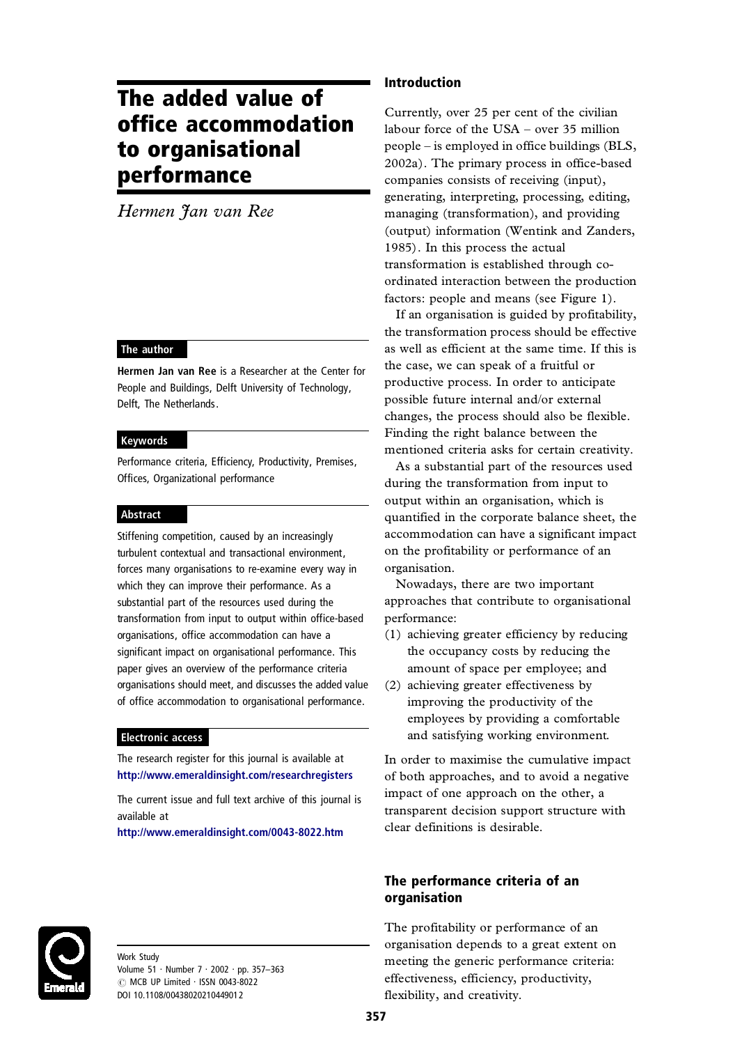# The added value of office accommodation to organisational performance

*Hermen Jan van Ree*

# The author

Hermen Jan van Ree is a Researcher at the Center for People and Buildings, Delft University of Technology, Delft, The Netherlands.

#### Keywords

Performance criteria, Efficiency, Productivity, Premises, Offices, Organizational performance

#### Abstract

Stiffening competition, caused by an increasingly turbulent contextual and transactional environment, forces many organisations to re-examine every way in which they can improve their performance. As a substantial part of the resources used during the transformation from input to output within office-based organisations, office accommodation can have a significant impact on organisational performance. This paper gives an overview of the performance criteria organisations should meet, and discusses the added value of office accommodation to organisational performance.

# Electronic access

The research register for this journal is available at <http://www.emeraldinsight.com/researchregisters>

The current issue and full text archive of this journal is available at

<http://www.emeraldinsight.com/0043-8022.htm>

Work Study Volume 51 · Number 7 · 2002 · pp. 357-363 © MCB UP Limited · ISSN 0043-8022 DOI 10.1108/00438020210449012

# Introduction

Currently, over 25 per cent of the civilian labour force of the USA – over 35 million people – is employed in office buildings (BLS, 2002a). The primary process in office-based companies consists of receiving (input), generating, interpreting, processing, editing, managing (transformation), and providing (output) information (Wentink and Zanders, 1985). In this process the actual transformation is established through co ordinated interaction between the production factors: people and means (see Figure 1).

If an organisation is guided by profitability, the transformation process should be effective as well as efficient at the same time. If this is the case, we can speak of a fruitful or productive process. In order to anticipate possible future internal and/or external changes, the process should also be flexible. Finding the right balance between the mentioned criteria asks for certain creativity.

As a substantial part of the resources used during the transformation from input to output within an organisation, which is quantified in the corporate balance sheet, the accommodation can have a significant impact on the profitability or performance of an organisation.

Nowadays, there are two important approaches that contribute to organisational performance:

- (1) achieving greater efficiency by reducing the occupancy costs by reducing the amount of space per employee; and
- (2) achieving greater effectiveness by improving the productivity of the employees by providing a comfortable and satisfying working environment.

In order to maximise the cumulative impact of both approaches, and to avoid a negative impact of one approach on the other, a transparent decision support structure with clear definitions is desirable.

# The performance criteria of an organisation

The profitability or performance of an organisation depends to a great extent on meeting the generic performance criteria: effectiveness, efficiency, productivity, flexibility, and creativity.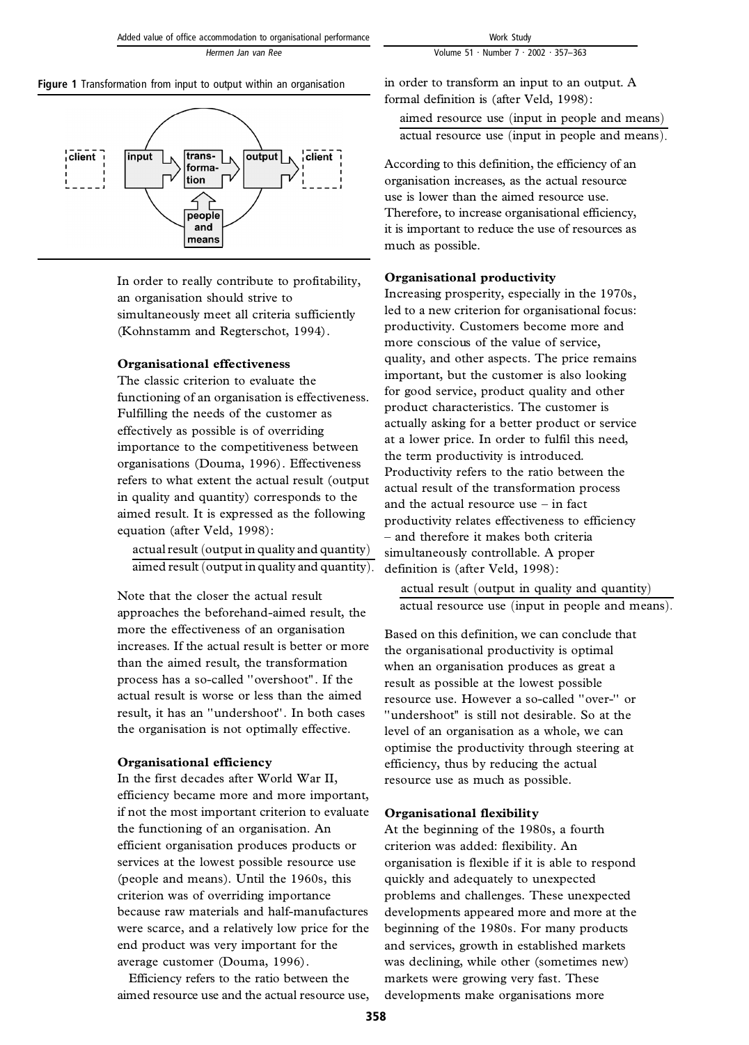# Figure 1 Transformation from input to output within an organisation



In order to really contribute to profitability, an organisation should strive to simultaneously meet all criteria sufficiently (Kohnstamm and Regterschot, 1994).

# **Organisational effectiveness**

The classic criterion to evaluate the functioning of an organisation is effectiveness. Fulfilling the needs of the customer as effectively as possible is of overriding importance to the competitiveness between organisations (Douma, 1996). Effectiveness refers to what extent the actual result (output in quality and quantity) corresponds to the aimed result. It is expressed as the following equation (after Veld, 1998):

actual result (output in quality and quantity) aimed result (output in quality and quantity).

Note that the closer the actual result approaches the beforehand-aimed result, the more the effectiveness of an organisation increases. If the actual result is better or more than the aimed result, the transformation process has a so-called ''overshoot''. If the actual result is worse or less than the aimed result, it has an ''undershoot''. In both cases the organisation is not optimally effective.

# **Organisational efficiency**

In the first decades after World War II, efficiency became more and more important, if not the most important criterion to evaluate the functioning of an organisation. An efficient organisation produces products or services at the lowest possible resource use (people and means). Until the 1960s, this criterion was of overriding importance because raw materials and half-manufactures were scarce, and a relatively low price for the end product was very important for the average customer (Douma, 1996).

Efficiency refers to the ratio between the aimed resource use and the actual resource use, in order to transform an input to an output. A formal definition is (after Veld, 1998):

aimed resource use (input in people and means) actual resource use (input in people and means).

According to this definition, the efficiency of an organisation increases, as the actual resource use is lower than the aimed resource use. Therefore, to increase organisational efficiency, it is important to reduce the use of resources as much as possible.

# **Organisational productivity**

Increasing prosperity, especially in the 1970s, led to a new criterion for organisational focus: productivity. Customers become more and more conscious of the value of service, quality, and other aspects. The price remains important, but the customer is also looking for good service, product quality and other product characteristics. The customer is actually asking for a better product or service at a lower price. In order to fulfil this need, the term productivity is introduced. Productivity refers to the ratio between the actual result of the transformation process and the actual resource use – in fact productivity relates effectiveness to efficiency – and therefore it makes both criteria simultaneously controllable. A proper definition is (after Veld, 1998):

actual result (output in quality and quantity) actual resource use (input in people and means).

Based on this definition, we can conclude that the organisational productivity is optimal when an organisation produces as great a result as possible at the lowest possible resource use. However a so-called ''over-'' or ''undershoot'' is still not desirable. So at the level of an organisation as a whole, we can optimise the productivity through steering at efficiency, thus by reducing the actual resource use as much as possible.

# **Organisational flexibility**

At the beginning of the 1980s, a fourth criterion was added: flexibility. An organisation is flexible if it is able to respond quickly and adequately to unexpected problems and challenges. These unexpected developments appeared more and more at the beginning of the 1980s. For many products and services, growth in established markets was declining, while other (sometimes new) markets were growing very fast. These developments make organisations more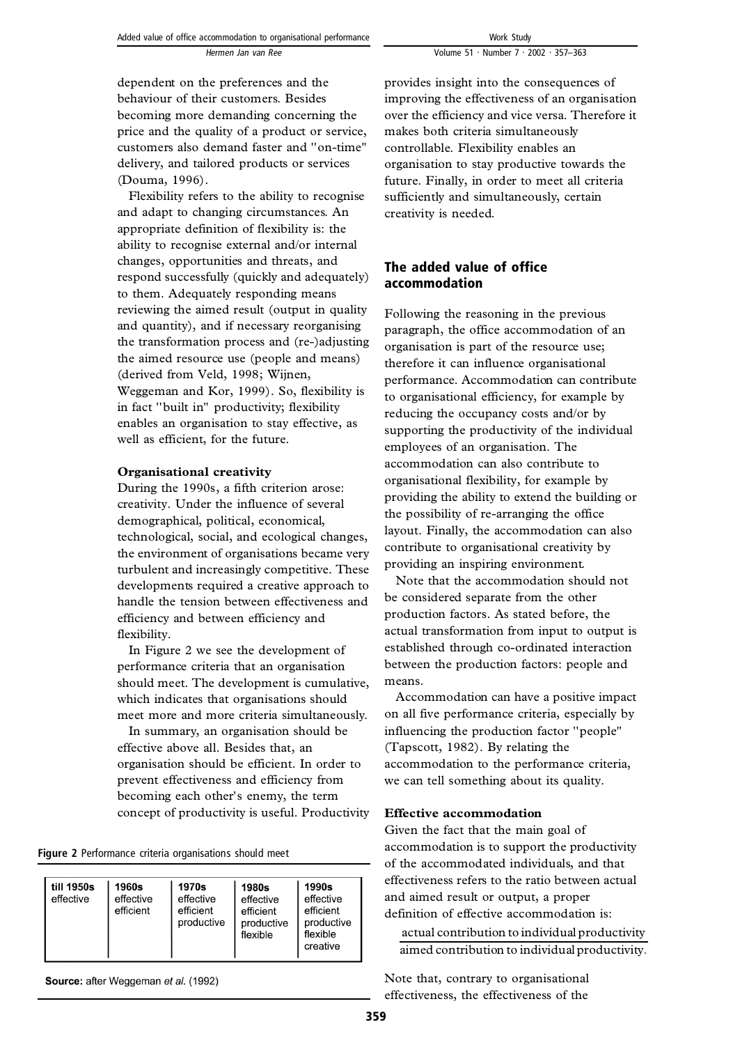dependent on the preferences and the behaviour of their customers. Besides becoming more demanding concerning the price and the quality of a product or service, customers also demand faster and ''on-time'' delivery, and tailored products or services (Douma, 1996).

Flexibility refers to the ability to recognise and adapt to changing circumstances. An appropriate definition of flexibility is: the ability to recognise external and/or internal changes, opportunities and threats, and respond successfully (quickly and adequately) to them. Adequately responding means reviewing the aimed result (output in quality and quantity), and if necessary reorganising the transformation process and (re-)adjusting the aimed resource use (people and means) (derived from Veld, 1998; Wijnen, Weggeman and Kor, 1999). So, flexibility is in fact ''built in'' productivity; flexibility enables an organisation to stay effective, as well as efficient, for the future.

#### **Organisational creativity**

During the 1990s, a fifth criterion arose: creativity. Under the influence of several demographical, political, economical, technological, social, and ecological changes, the environment of organisations became very turbulent and increasingly competitive. These developments required a creative approach to handle the tension between effectiveness and efficiency and between efficiency and flexibility.

In Figure 2 we see the development of performance criteria that an organisation should meet. The development is cumulative, which indicates that organisations should meet more and more criteria simultaneously.

In summary, an organisation should be effective above all. Besides that, an organisation should be efficient. In order to prevent effectiveness and efficiency from becoming each other's enemy, the term concept of productivity is useful. Productivity

Figure 2 Performance criteria organisations should meet

| till 1950s<br>1960s<br>effective<br>effective<br>efficient | 1970s<br>effective<br>efficient<br>productive | 1980s<br>effective<br>efficient<br>productive<br>flexible | 1990s<br>effective<br>efficient<br>productive<br>flexible<br>creative |
|------------------------------------------------------------|-----------------------------------------------|-----------------------------------------------------------|-----------------------------------------------------------------------|
|------------------------------------------------------------|-----------------------------------------------|-----------------------------------------------------------|-----------------------------------------------------------------------|

Source: after Weggeman et al. (1992)

provides insight into the consequences of improving the effectiveness of an organisation over the efficiency and vice versa. Therefore it makes both criteria simultaneously controllable. Flexibility enables an organisation to stay productive towards the future. Finally, in order to meet all criteria sufficiently and simultaneously, certain creativity is needed.

# The added value of office accommodation

Following the reasoning in the previous paragraph, the office accommodation of an organisation is part of the resource use; therefore it can influence organisational performance. Accommodation can contribute to organisational efficiency, for example by reducing the occupancy costs and/or by supporting the productivity of the individual employees of an organisation. The accommodation can also contribute to organisational flexibility, for example by providing the ability to extend the building or the possibility of re-arranging the office layout. Finally, the accommodation can also contribute to organisational creativity by providing an inspiring environment.

Note that the accommodation should not be considered separate from the other production factors. As stated before, the actual transformation from input to output is established through co-ordinated interaction between the production factors: people and means.

Accommodation can have a positive impact on all five performance criteria, especially by influencing the production factor ''people'' (Tapscott, 1982). By relating the accommodation to the performance criteria, we can tell something about its quality.

#### **Effective accommodation**

Given the fact that the main goal of accommodation is to support the productivity of the accommodated individuals, and that effectiveness refers to the ratio between actual and aimed result or output, a proper definition of effective accommodation is:

actual contribution to individual productivity aimed contribution to individual productivity:

Note that, contrary to organisational effectiveness, the effectiveness of the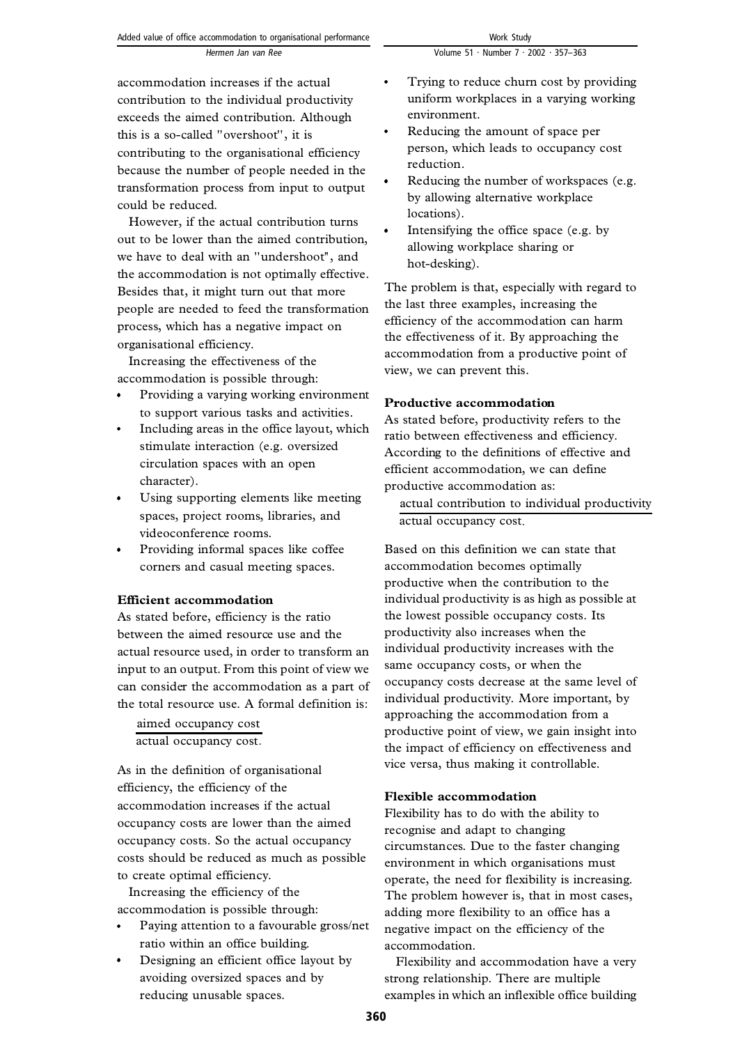accommodation increases if the actual contribution to the individual productivity exceeds the aimed contribution. Although this is a so-called ''overshoot'', it is contributing to the organisational efficiency because the number of people needed in the transformation process from input to output could be reduced.

However, if the actual contribution turns out to be lower than the aimed contribution, we have to deal with an ''undershoot'', and the accommodation is not optimally effective. Besides that, it might turn out that more people are needed to feed the transformation process, which has a negative impact on organisational efficiency.

Increasing the effectiveness of the accommodation is possible through:

- Providing a varying working environment to support various tasks and activities.
- Including areas in the office layout, which stimulate interaction (e.g. oversized circulation spaces with an open character).
- Using supporting elements like meeting spaces, project rooms, libraries, and videoconference rooms.
- Providing informal spaces like coffee corners and casual meeting spaces.

# **Efficient accommodation**

As stated before, efficiency is the ratio between the aimed resource use and the actual resource used, in order to transform an input to an output. From this point of view we can consider the accommodation as a part of the total resource use. A formal definition is:

aimed occupancy cost actual occupancy cost:

As in the definition of organisational efficiency, the efficiency of the accommodation increases if the actual occupancy costs are lower than the aimed occupancy costs. So the actual occupancy costs should be reduced as much as possible to create optimal efficiency.

Increasing the efficiency of the accommodation is possible through:

- Paying attention to a favourable gross/net ratio within an office building.
- Designing an efficient office layout by avoiding oversized spaces and by reducing unusable spaces.
- Trying to reduce churn cost by providing uniform workplaces in a varying working environment.
- Reducing the amount of space per person, which leads to occupancy cost reduction.
- Reducing the number of workspaces (e.g. by allowing alternative workplace locations).
- Intensifying the office space (e.g. by allowing workplace sharing or hot-desking).

The problem is that, especially with regard to the last three examples, increasing the efficiency of the accommodation can harm the effectiveness of it. By approaching the accommodation from a productive point of view, we can prevent this.

# **Productive accommodation**

As stated before, productivity refers to the ratio between effectiveness and efficiency. According to the definitions of effective and efficient accommodation, we can define productive accommodation as:

actual contribution to individual productivity actual occupancy cost:

Based on this definition we can state that accommodation becomes optimally productive when the contribution to the individual productivity is as high as possible at the lowest possible occupancy costs. Its productivity also increases when the individual productivity increases with the same occupancy costs, or when the occupancy costs decrease at the same level of individual productivity. More important, by approaching the accommodation from a productive point of view, we gain insight into the impact of efficiency on effectiveness and vice versa, thus making it controllable.

# **Flexible accommodation**

Flexibility has to do with the ability to recognise and adapt to changing circumstances. Due to the faster changing environment in which organisations must operate, the need for flexibility is increasing. The problem however is, that in most cases, adding more flexibility to an office has a negative impact on the efficiency of the accommodation.

Flexibility and accommodation have a very strong relationship. There are multiple examples in which an inflexible office building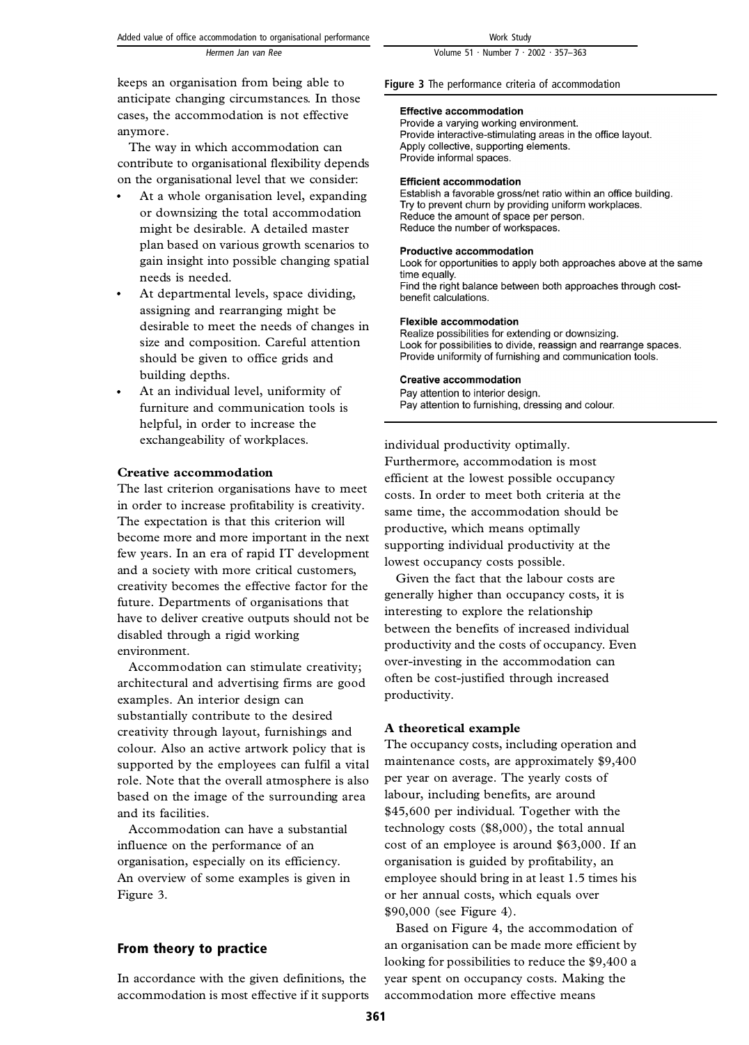Volume 51 · Number 7 · 2002 · 357-363

keeps an organisation from being able to anticipate changing circumstances. In those cases, the accommodation is not effective anymore.

The way in which accommodation can contribute to organisational flexibility depends on the organisational level that we consider:

- At a whole organisation level, expanding or downsizing the total accommodation might be desirable. A detailed master plan based on various growth scenarios to gain insight into possible changing spatial needs is needed.
- At departmental levels, space dividing, assigning and rearranging might be desirable to meet the needs of changes in size and composition. Careful attention should be given to office grids and building depths.
- At an individual level, uniformity of furniture and communication tools is helpful, in order to increase the exchangeability of workplaces.

#### **Creative accommodation**

The last criterion organisations have to meet in order to increase profitability is creativity. The expectation is that this criterion will become more and more important in the next few years. In an era of rapid IT development and a society with more critical customers, creativity becomes the effective factor for the future. Departments of organisations that have to deliver creative outputs should not be disabled through a rigid working environment.

Accommodation can stimulate creativity; architectural and advertising firms are good examples. An interior design can substantially contribute to the desired creativity through layout, furnishings and colour. Also an active artwork policy that is supported by the employees can fulfil a vital role. Note that the overall atmosphere is also based on the image of the surrounding area and its facilities.

Accommodation can have a substantial influence on the performance of an organisation, especially on its efficiency. An overview of some examples is given in Figure 3.

# From theory to practice

In accordance with the given definitions, the accommodation is most effective if it supports Figure 3 The performance criteria of accommodation

#### **Effective accommodation**

Provide a varying working environment. Provide interactive-stimulating areas in the office layout. Apply collective, supporting elements. Provide informal spaces.

#### **Efficient accommodation**

Establish a favorable gross/net ratio within an office building. Try to prevent churn by providing uniform workplaces. Reduce the amount of space per person. Reduce the number of workspaces.

#### **Productive accommodation**

Look for opportunities to apply both approaches above at the same time equally. Find the right balance between both approaches through costbenefit calculations.

#### **Flexible accommodation**

Realize possibilities for extending or downsizing. Look for possibilities to divide, reassign and rearrange spaces. Provide uniformity of furnishing and communication tools.

#### **Creative accommodation**

Pay attention to interior design. Pay attention to furnishing, dressing and colour.

individual productivity optimally. Furthermore, accommodation is most efficient at the lowest possible occupancy costs. In order to meet both criteria at the same time, the accommodation should be productive, which means optimally supporting individual productivity at the lowest occupancy costs possible.

Given the fact that the labour costs are generally higher than occupancy costs, it is interesting to explore the relationship between the benefits of increased individual productivity and the costs of occupancy. Even over-investing in the accommodation can often be cost-justified through increased productivity.

#### **A theoretical example**

The occupancy costs, including operation and maintenance costs, are approximately \$9,400 per year on average. The yearly costs of labour, including benefits, are around \$45,600 per individual. Together with the technology costs (\$8,000), the total annual cost of an employee is around \$63,000. If an organisation is guided by profitability, an employee should bring in at least 1.5 times his or her annual costs, which equals over \$90,000 (see Figure 4).

Based on Figure 4, the accommodation of an organisation can be made more efficient by looking for possibilities to reduce the \$9,400 a year spent on occupancy costs. Making the accommodation more effective means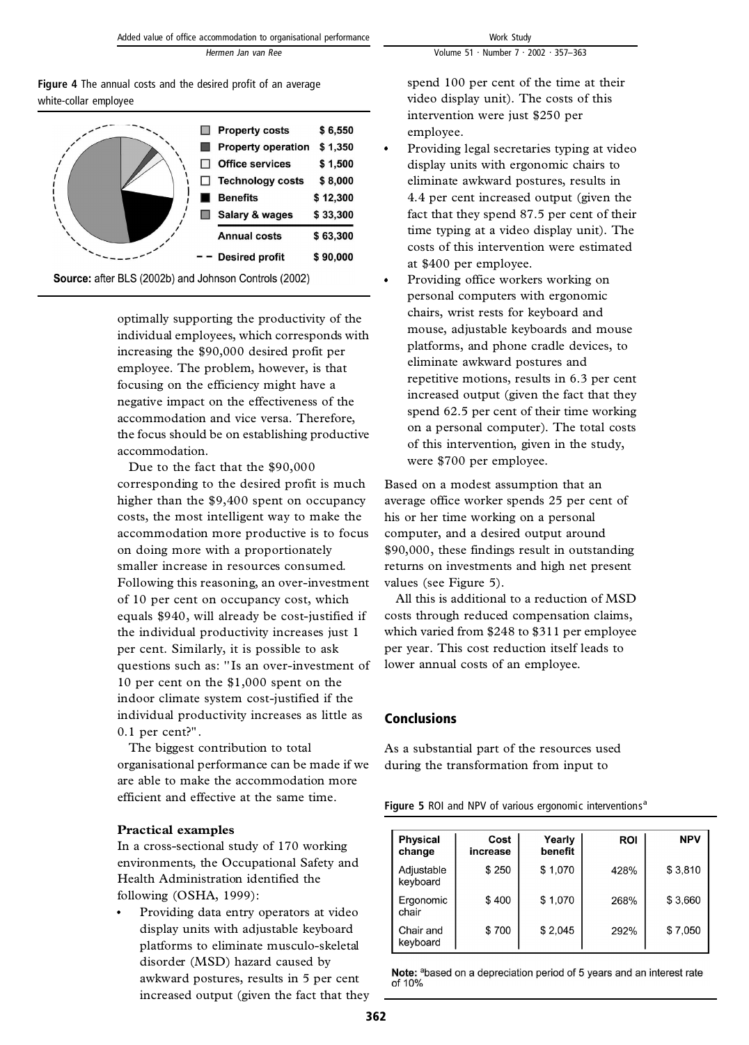| <b>Figure 4</b> The annual costs and the desired profit of an average |  |
|-----------------------------------------------------------------------|--|
| white-collar employee                                                 |  |

|  | <b>Property costs</b><br><b>Property operation</b><br><b>Office services</b><br><b>Technology costs</b><br><b>Benefits</b><br>Salary & wages | \$6,550<br>\$1,350<br>\$1,500<br>\$8,000<br>\$12,300<br>\$33,300 |
|--|----------------------------------------------------------------------------------------------------------------------------------------------|------------------------------------------------------------------|
|  | <b>Annual costs</b><br><b>Desired profit</b>                                                                                                 | \$63,300<br>\$90,000                                             |

Source: after BLS (2002b) and Johnson Controls (2002)

optimally supporting the productivity of the individual employees, which corresponds with increasing the \$90,000 desired profit per employee. The problem, however, is that focusing on the efficiency might have a negative impact on the effectiveness of the accommodation and vice versa. Therefore, the focus should be on establishing productive accommodation.

Due to the fact that the \$90,000 corresponding to the desired profit is much higher than the \$9,400 spent on occupancy costs, the most intelligent way to make the accommodation more productive is to focus on doing more with a proportionately smaller increase in resources consumed. Following this reasoning, an over-investment of 10 per cent on occupancy cost, which equals \$940, will already be cost-justified if the individual productivity increases just 1 per cent. Similarly, it is possible to ask questions such as: ''Is an over-investment of 10 per cent on the \$1,000 spent on the indoor climate system cost-justified if the individual productivity increases as little as 0.1 per cent?''.

The biggest contribution to total organisational performance can be made if we are able to make the accommodation more efficient and effective at the same time.

# **Practical examples**

In a cross-sectional study of 170 working environments, the Occupational Safety and Health Administration identified the following (OSHA, 1999):

Providing data entry operators at video display units with adjustable keyboard platforms to eliminate musculo-skeletal disorder (MSD) hazard caused by awkward postures, results in 5 per cent increased output (given the fact that they spend 100 per cent of the time at their video display unit). The costs of this intervention were just \$250 per employee.

- Providing legal secretaries typing at video display units with ergonomic chairs to eliminate awkward postures, results in 4.4 per cent increased output (given the fact that they spend 87.5 per cent of their time typing at a video display unit). The costs of this intervention were estimated at \$400 per employee.
- Providing office workers working on personal computers with ergonomic chairs, wrist rests for keyboard and mouse, adjustable keyboards and mouse platforms, and phone cradle devices, to eliminate awkward postures and repetitive motions, results in 6.3 per cent increased output (given the fact that they spend 62.5 per cent of their time working on a personal computer). The total costs of this intervention, given in the study, were \$700 per employee.

Based on a modest assumption that an average office worker spends 25 per cent of his or her time working on a personal computer, and a desired output around \$90,000, these findings result in outstanding returns on investments and high net present values (see Figure 5).

All this is additional to a reduction of MSD costs through reduced compensation claims, which varied from \$248 to \$311 per employee per year. This cost reduction itself leads to lower annual costs of an employee.

# Conclusions

As a substantial part of the resources used during the transformation from input to

| Figure 5 ROI and NPV of various ergonomic interventions <sup>a</sup> |
|----------------------------------------------------------------------|
|----------------------------------------------------------------------|

| <b>Physical</b><br>change | Cost<br>increase | Yearly<br>benefit | <b>ROI</b> | <b>NPV</b> |
|---------------------------|------------------|-------------------|------------|------------|
| Adjustable<br>keyboard    | \$250            | \$1,070           | 428%       | \$3,810    |
| Ergonomic<br>chair        | \$400            | \$1,070           | 268%       | \$3,660    |
| Chair and<br>keyboard     | \$700            | \$2,045           | 292%       | \$7,050    |

Note: <sup>a</sup>based on a depreciation period of 5 years and an interest rate of 10%